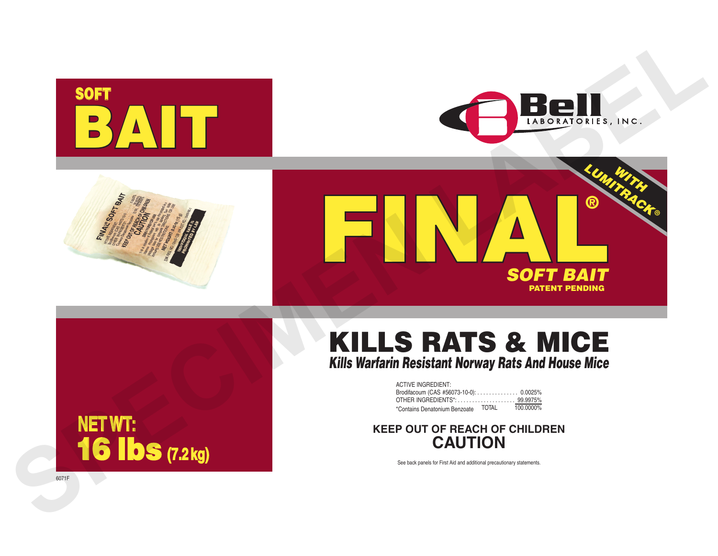







# KILLS RATS & MICE *Kills Warfarin Resistant Norway Rats And House Mice*

| <b>ACTIVE INGREDIENT:</b>              |       |           |
|----------------------------------------|-------|-----------|
| Brodifacoum (CAS #56073-10-0): 0.0025% |       |           |
|                                        |       |           |
| *Contains Denatonium Benzoate          | TOTAL | 100.0000% |

# **KEEP OUT OF REACH OF CHILDREN CAUTION**

See back panels for First Aid and additional precautionary statements.